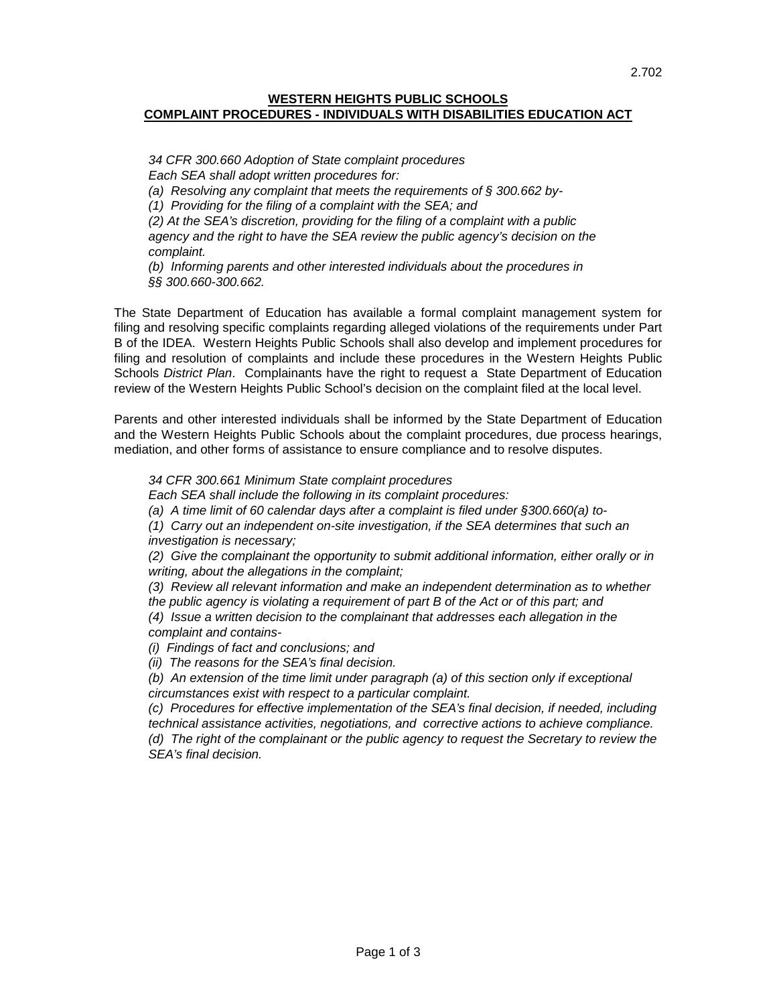## **WESTERN HEIGHTS PUBLIC SCHOOLS COMPLAINT PROCEDURES - INDIVIDUALS WITH DISABILITIES EDUCATION ACT**

*34 CFR 300.660 Adoption of State complaint procedures Each SEA shall adopt written procedures for: (a) Resolving any complaint that meets the requirements of § 300.662 by- (1) Providing for the filing of a complaint with the SEA; and (2) At the SEA's discretion, providing for the filing of a complaint with a public agency and the right to have the SEA review the public agency's decision on the complaint. (b) Informing parents and other interested individuals about the procedures in*

*§§ 300.660-300.662.*

The State Department of Education has available a formal complaint management system for filing and resolving specific complaints regarding alleged violations of the requirements under Part B of the IDEA. Western Heights Public Schools shall also develop and implement procedures for filing and resolution of complaints and include these procedures in the Western Heights Public Schools *District Plan*. Complainants have the right to request a State Department of Education review of the Western Heights Public School's decision on the complaint filed at the local level.

Parents and other interested individuals shall be informed by the State Department of Education and the Western Heights Public Schools about the complaint procedures, due process hearings, mediation, and other forms of assistance to ensure compliance and to resolve disputes.

*34 CFR 300.661 Minimum State complaint procedures*

*Each SEA shall include the following in its complaint procedures:*

*(a) A time limit of 60 calendar days after a complaint is filed under §300.660(a) to-*

*(1) Carry out an independent on-site investigation, if the SEA determines that such an investigation is necessary;*

*(2) Give the complainant the opportunity to submit additional information, either orally or in writing, about the allegations in the complaint;*

*(3) Review all relevant information and make an independent determination as to whether the public agency is violating a requirement of part B of the Act or of this part; and*

*(4) Issue a written decision to the complainant that addresses each allegation in the complaint and contains-*

*(i) Findings of fact and conclusions; and*

*(ii) The reasons for the SEA's final decision.*

*(b) An extension of the time limit under paragraph (a) of this section only if exceptional circumstances exist with respect to a particular complaint.*

*(c) Procedures for effective implementation of the SEA's final decision, if needed, including technical assistance activities, negotiations, and corrective actions to achieve compliance. (d)* The right of the complainant or the public agency to request the Secretary to review the *SEA's final decision.*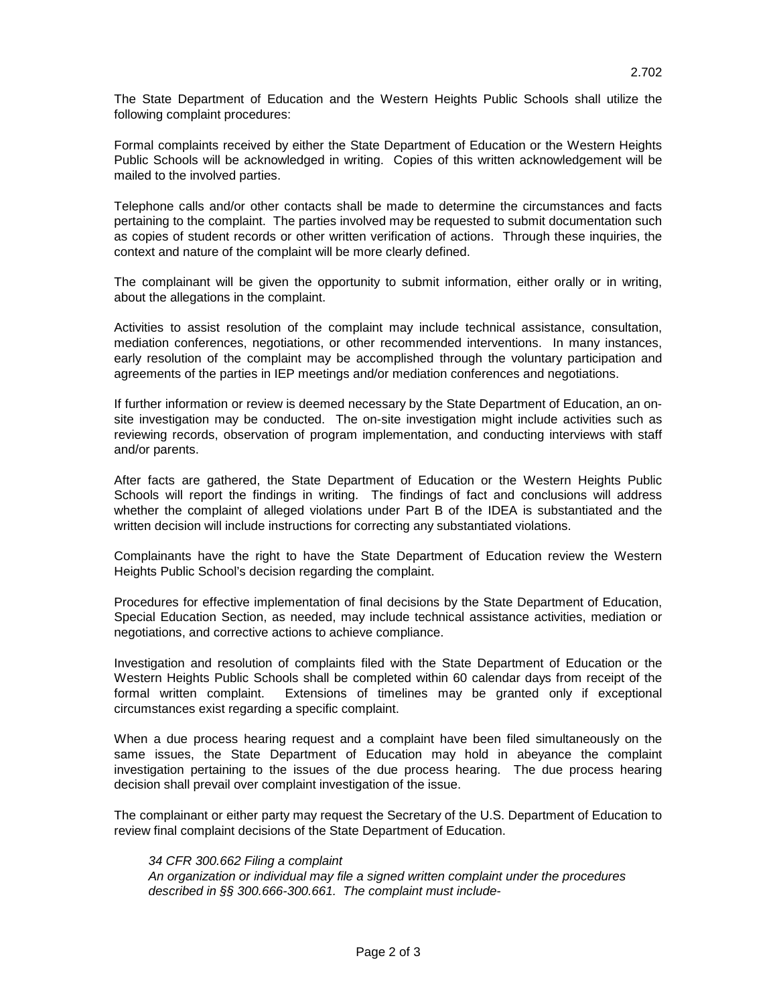Formal complaints received by either the State Department of Education or the Western Heights Public Schools will be acknowledged in writing. Copies of this written acknowledgement will be mailed to the involved parties.

Telephone calls and/or other contacts shall be made to determine the circumstances and facts pertaining to the complaint. The parties involved may be requested to submit documentation such as copies of student records or other written verification of actions. Through these inquiries, the context and nature of the complaint will be more clearly defined.

The complainant will be given the opportunity to submit information, either orally or in writing, about the allegations in the complaint.

Activities to assist resolution of the complaint may include technical assistance, consultation, mediation conferences, negotiations, or other recommended interventions. In many instances, early resolution of the complaint may be accomplished through the voluntary participation and agreements of the parties in IEP meetings and/or mediation conferences and negotiations.

If further information or review is deemed necessary by the State Department of Education, an onsite investigation may be conducted. The on-site investigation might include activities such as reviewing records, observation of program implementation, and conducting interviews with staff and/or parents.

After facts are gathered, the State Department of Education or the Western Heights Public Schools will report the findings in writing. The findings of fact and conclusions will address whether the complaint of alleged violations under Part B of the IDEA is substantiated and the written decision will include instructions for correcting any substantiated violations.

Complainants have the right to have the State Department of Education review the Western Heights Public School's decision regarding the complaint.

Procedures for effective implementation of final decisions by the State Department of Education, Special Education Section, as needed, may include technical assistance activities, mediation or negotiations, and corrective actions to achieve compliance.

Investigation and resolution of complaints filed with the State Department of Education or the Western Heights Public Schools shall be completed within 60 calendar days from receipt of the formal written complaint. Extensions of timelines may be granted only if exceptional circumstances exist regarding a specific complaint.

When a due process hearing request and a complaint have been filed simultaneously on the same issues, the State Department of Education may hold in abeyance the complaint investigation pertaining to the issues of the due process hearing. The due process hearing decision shall prevail over complaint investigation of the issue.

The complainant or either party may request the Secretary of the U.S. Department of Education to review final complaint decisions of the State Department of Education.

## *34 CFR 300.662 Filing a complaint*

*An organization or individual may file a signed written complaint under the procedures described in §§ 300.666-300.661. The complaint must include-*